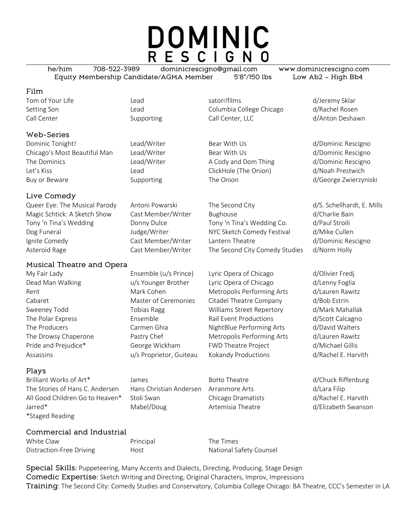# DOMINIC

he/him 708-522-3989 dominicrescigno@gmail.com www.dominicrescigno.com Equity Membership Candidate/AGMA Member 5'8"/150 lbs Low Ab2 – High Bb4

## Film

# Web-Series

Dominic Tonight! Lead/Writer Bear With Us d/Dominic Rescigno Chicago's Most Beautiful Man Lead/Writer Bear With Us and Dominic Rescigno The Dominics **Lead/Writer** A Cody and Dom Thing d/Dominic Rescigno Let's Kiss Lead ClickHole (The Onion) d/Noah Prestwich Buy or Beware The Supporting The Onion The Onion The Support of George Zwierzyniski

# Live Comedy

# Musical Theatre and Opera

Assassins u/s Proprietor, Guiteau Kokandy Productions d/Rachel E. Harvith

Tom of Your Life The Lead Lead Satori!films School of Your Life School and Lead Satori!films and the distribution of the same of the Lead School and The School and the School and School and School and School and School and Setting Son **Columbia College Chicago** d/Rachel Rosen Call Center Call Center Supporting Call Center, LLC design d/Anton Deshawn

Queer Eye: The Musical Parody Antoni Powarski The Second City The Second City d/S. Schellhardt, E. Mills Magic Schtick: A Sketch Show Cast Member/Writer Bughouse business and d/Charlie Bain Tony 'n Tina's Wedding Donny Dulce Tony 'n Tina's Wedding Co. d/Paul Stroili Dog Funeral **The Step Auding Comedy Comedy Festival** details and the Cullen Ignite Comedy Cast Member/Writer Lantern Theatre d/Dominic Rescigno Asteroid Rage **Cast Member/Writer** The Second City Comedy Studies d/Norm Holly

My Fair Lady Ensemble (u/s Prince) Lyric Opera of Chicago d/Olivier Fredj Dead Man Walking u/s Younger Brother Lyric Opera of Chicago d/Lenny Foglia Rent Mark Cohen Metropolis Performing Arts d/Lauren Rawitz Cabaret Master of Ceremonies Citadel Theatre Company d/Bob Estrin Sweeney Todd **Tobias Ragg Communist Communist Communist** Street Repertory d/Mark Mahallak The Polar Express **Ensemble** Ensemble Rail Event Productions and Guide design of the Polar Express Control of the E The Producers **Carmen Ghia** NightBlue Performing Arts d/David Walters discussed and Carmen Ghia The Drowsy Chaperone **Pastry Chef Metropolis Performing Arts** d/Lauren Rawitz Pride and Prejudice\* George Wickham FWD Theatre Project d/Michael Gillis

### Plays

Brilliant Works of Art\* James James BoHo Theatre and Group devices and developing The Stories of Hans C. Andersen Hans Christian Andersen Arranmore Arts d/Lara Filip All Good Children Go to Heaven\* Stoli Swan Chicago Dramatists d/Rachel E. Harvith Jarred\* The Mabel/Doug Artemisia Theatre and delicabeth Swanson \*Staged Reading

### Commercial and Industrial

| White Claw               |  |
|--------------------------|--|
| Distraction-Free Driving |  |

Principal The Times Host **National Safety Counsel** 

Special Skills: Puppeteering, Many Accents and Dialects, Directing, Producing, Stage Design Comedic Expertise: Sketch Writing and Directing, Original Characters, Improv, Impressions Training: The Second City: Comedy Studies and Conservatory, Columbia College Chicago: BA Theatre, CCC's Semester in LA